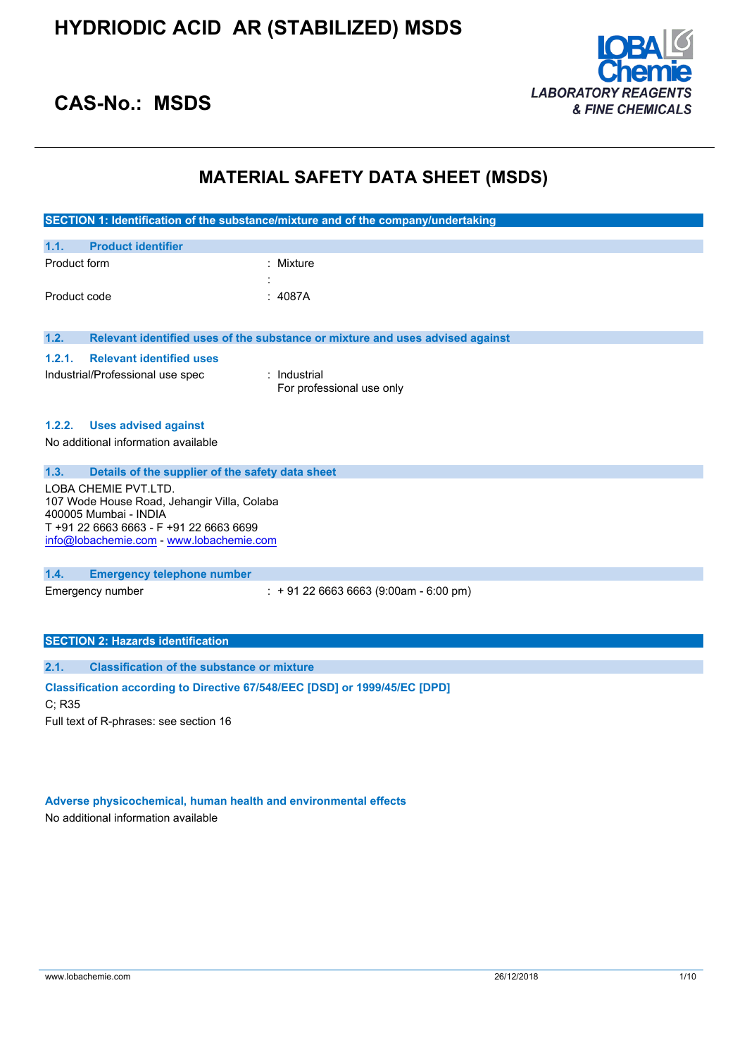

## **CAS-No.: MSDS**

## **MATERIAL SAFETY DATA SHEET (MSDS)**

|                                                                                                                                                                                     |                                                  | SECTION 1: Identification of the substance/mixture and of the company/undertaking |
|-------------------------------------------------------------------------------------------------------------------------------------------------------------------------------------|--------------------------------------------------|-----------------------------------------------------------------------------------|
| 1.1.                                                                                                                                                                                | <b>Product identifier</b>                        |                                                                                   |
| Product form                                                                                                                                                                        |                                                  | : Mixture                                                                         |
| Product code                                                                                                                                                                        |                                                  | : 4087A                                                                           |
| 1.2.                                                                                                                                                                                |                                                  | Relevant identified uses of the substance or mixture and uses advised against     |
| 1.2.1.                                                                                                                                                                              | <b>Relevant identified uses</b>                  |                                                                                   |
|                                                                                                                                                                                     | Industrial/Professional use spec                 | : Industrial<br>For professional use only                                         |
| 1.2.2.                                                                                                                                                                              | <b>Uses advised against</b>                      |                                                                                   |
|                                                                                                                                                                                     | No additional information available              |                                                                                   |
| 1.3.                                                                                                                                                                                | Details of the supplier of the safety data sheet |                                                                                   |
| LOBA CHEMIE PVT.LTD.<br>107 Wode House Road, Jehangir Villa, Colaba<br>400005 Mumbai - INDIA<br>T +91 22 6663 6663 - F +91 22 6663 6699<br>info@lobachemie.com - www.lobachemie.com |                                                  |                                                                                   |
| 1.4.                                                                                                                                                                                | <b>Emergency telephone number</b>                |                                                                                   |
|                                                                                                                                                                                     | Emergency number                                 | $: +912266636663(9:00am - 6:00 pm)$                                               |
|                                                                                                                                                                                     | <b>SECTION 2: Hazards identification</b>         |                                                                                   |

### **2.1. Classification of the substance or mixture**

#### **Classification according to Directive 67/548/EEC [DSD] or 1999/45/EC [DPD]**

C; R35 Full text of R-phrases: see section 16

#### **Adverse physicochemical, human health and environmental effects**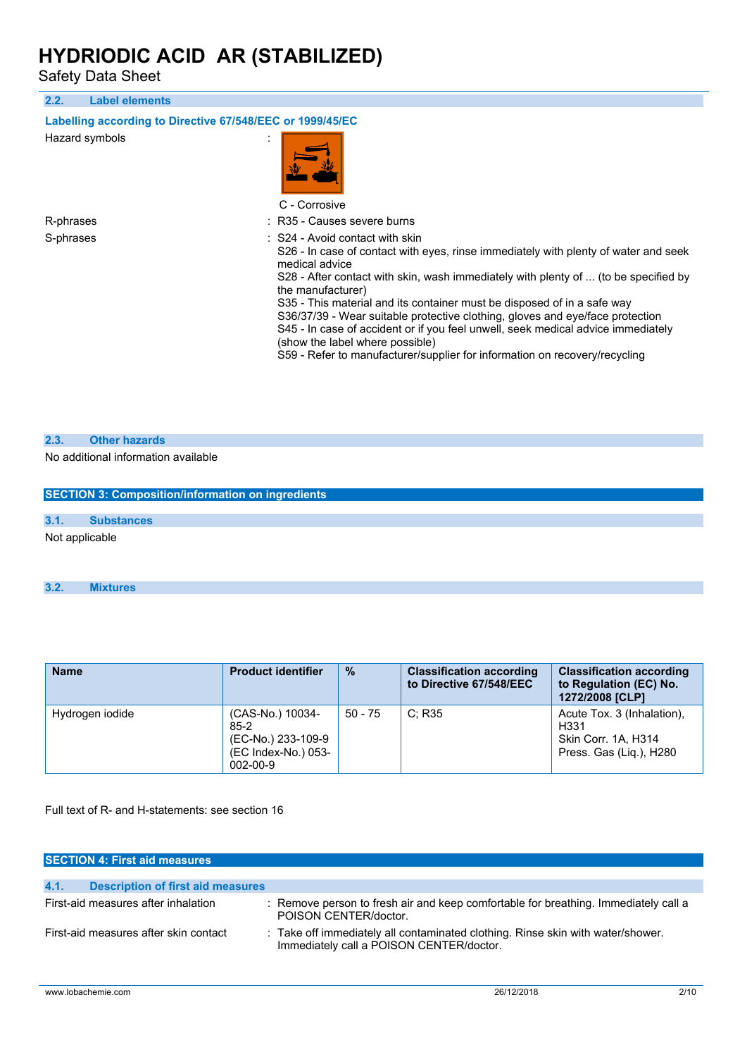Safety Data Sheet

**2.2. Label elements**

#### **Labelling according to Directive 67/548/EEC or 1999/45/EC**

Hazard symbols :



C - Corrosive

R-phrases : R35 - Causes severe burns

S-phrases : S24 - Avoid contact with skin

S26 - In case of contact with eyes, rinse immediately with plenty of water and seek medical advice

S28 - After contact with skin, wash immediately with plenty of ... (to be specified by the manufacturer)

S35 - This material and its container must be disposed of in a safe way S36/37/39 - Wear suitable protective clothing, gloves and eye/face protection S45 - In case of accident or if you feel unwell, seek medical advice immediately (show the label where possible)

S59 - Refer to manufacturer/supplier for information on recovery/recycling

#### **2.3. Other hazards**

No additional information available

### **SECTION 3: Composition/information on ingredients**

## **3.1. Substances**

Not applicable

#### **3.2. Mixtures**

| <b>Name</b>     | <b>Product identifier</b>                                                                 | $\frac{9}{6}$ | <b>Classification according</b><br>to Directive 67/548/EEC | <b>Classification according</b><br>to Regulation (EC) No.<br>1272/2008 [CLP]         |
|-----------------|-------------------------------------------------------------------------------------------|---------------|------------------------------------------------------------|--------------------------------------------------------------------------------------|
| Hydrogen iodide | (CAS-No.) 10034-<br>$85-2$<br>(EC-No.) 233-109-9<br>(EC Index-No.) 053-<br>$002 - 00 - 9$ | $50 - 75$     | C: R35                                                     | Acute Tox. 3 (Inhalation),<br>H331<br>Skin Corr. 1A, H314<br>Press. Gas (Lig.), H280 |

Full text of R- and H-statements: see section 16

| <b>SECTION 4: First aid measures</b>             |                                                                                                                             |
|--------------------------------------------------|-----------------------------------------------------------------------------------------------------------------------------|
|                                                  |                                                                                                                             |
| 4.1.<br><b>Description of first aid measures</b> |                                                                                                                             |
| First-aid measures after inhalation              | : Remove person to fresh air and keep comfortable for breathing. Immediately call a<br>POISON CENTER/doctor.                |
| First-aid measures after skin contact            | : Take off immediately all contaminated clothing. Rinse skin with water/shower.<br>Immediately call a POISON CENTER/doctor. |
|                                                  |                                                                                                                             |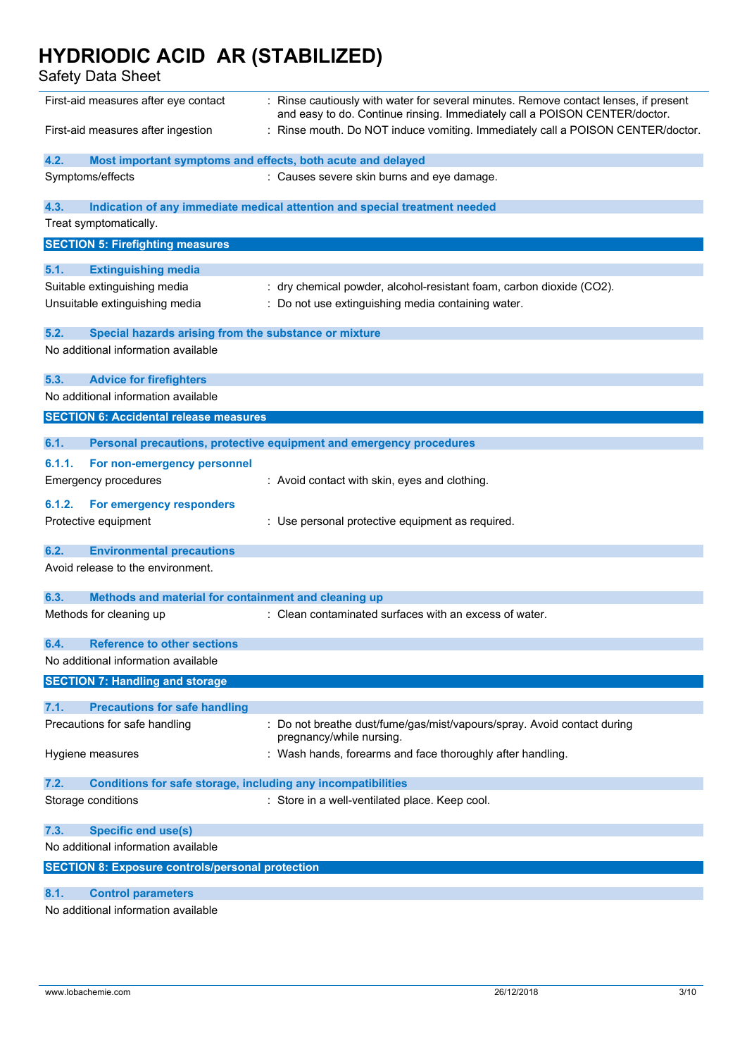Safety Data Sheet

| First-aid measures after eye contact                                 | : Rinse cautiously with water for several minutes. Remove contact lenses, if present<br>and easy to do. Continue rinsing. Immediately call a POISON CENTER/doctor. |  |  |  |  |
|----------------------------------------------------------------------|--------------------------------------------------------------------------------------------------------------------------------------------------------------------|--|--|--|--|
| First-aid measures after ingestion                                   | : Rinse mouth. Do NOT induce vomiting. Immediately call a POISON CENTER/doctor.                                                                                    |  |  |  |  |
| 4.2.                                                                 | Most important symptoms and effects, both acute and delayed                                                                                                        |  |  |  |  |
| Symptoms/effects<br>: Causes severe skin burns and eye damage.       |                                                                                                                                                                    |  |  |  |  |
| 4.3.                                                                 | Indication of any immediate medical attention and special treatment needed                                                                                         |  |  |  |  |
| Treat symptomatically.                                               |                                                                                                                                                                    |  |  |  |  |
| <b>SECTION 5: Firefighting measures</b>                              |                                                                                                                                                                    |  |  |  |  |
| 5.1.<br><b>Extinguishing media</b>                                   |                                                                                                                                                                    |  |  |  |  |
| Suitable extinguishing media                                         | : dry chemical powder, alcohol-resistant foam, carbon dioxide (CO2).                                                                                               |  |  |  |  |
| Unsuitable extinguishing media                                       | : Do not use extinguishing media containing water.                                                                                                                 |  |  |  |  |
|                                                                      |                                                                                                                                                                    |  |  |  |  |
| 5.2.<br>Special hazards arising from the substance or mixture        |                                                                                                                                                                    |  |  |  |  |
| No additional information available                                  |                                                                                                                                                                    |  |  |  |  |
| 5.3.<br><b>Advice for firefighters</b>                               |                                                                                                                                                                    |  |  |  |  |
| No additional information available                                  |                                                                                                                                                                    |  |  |  |  |
| <b>SECTION 6: Accidental release measures</b>                        |                                                                                                                                                                    |  |  |  |  |
|                                                                      |                                                                                                                                                                    |  |  |  |  |
| 6.1.                                                                 | Personal precautions, protective equipment and emergency procedures                                                                                                |  |  |  |  |
| 6.1.1.<br>For non-emergency personnel<br><b>Emergency procedures</b> | : Avoid contact with skin, eyes and clothing.                                                                                                                      |  |  |  |  |
| 6.1.2.<br>For emergency responders                                   |                                                                                                                                                                    |  |  |  |  |
| Protective equipment                                                 | : Use personal protective equipment as required.                                                                                                                   |  |  |  |  |
| <b>Environmental precautions</b><br>6.2.                             |                                                                                                                                                                    |  |  |  |  |
| Avoid release to the environment.                                    |                                                                                                                                                                    |  |  |  |  |
| 6.3.<br>Methods and material for containment and cleaning up         |                                                                                                                                                                    |  |  |  |  |
| Methods for cleaning up                                              | : Clean contaminated surfaces with an excess of water.                                                                                                             |  |  |  |  |
| 6.4.<br><b>Reference to other sections</b>                           |                                                                                                                                                                    |  |  |  |  |
| No additional information available                                  |                                                                                                                                                                    |  |  |  |  |
| <b>SECTION 7: Handling and storage</b>                               |                                                                                                                                                                    |  |  |  |  |
| 7.1.<br><b>Precautions for safe handling</b>                         |                                                                                                                                                                    |  |  |  |  |
| Precautions for safe handling                                        | Do not breathe dust/fume/gas/mist/vapours/spray. Avoid contact during<br>pregnancy/while nursing.                                                                  |  |  |  |  |
| Hygiene measures                                                     | : Wash hands, forearms and face thoroughly after handling.                                                                                                         |  |  |  |  |
| Conditions for safe storage, including any incompatibilities<br>7.2. |                                                                                                                                                                    |  |  |  |  |
| Storage conditions                                                   | : Store in a well-ventilated place. Keep cool.                                                                                                                     |  |  |  |  |
| <b>Specific end use(s)</b><br>7.3.                                   |                                                                                                                                                                    |  |  |  |  |
| No additional information available                                  |                                                                                                                                                                    |  |  |  |  |
| <b>SECTION 8: Exposure controls/personal protection</b>              |                                                                                                                                                                    |  |  |  |  |
| 8.1.<br><b>Control parameters</b>                                    |                                                                                                                                                                    |  |  |  |  |
|                                                                      |                                                                                                                                                                    |  |  |  |  |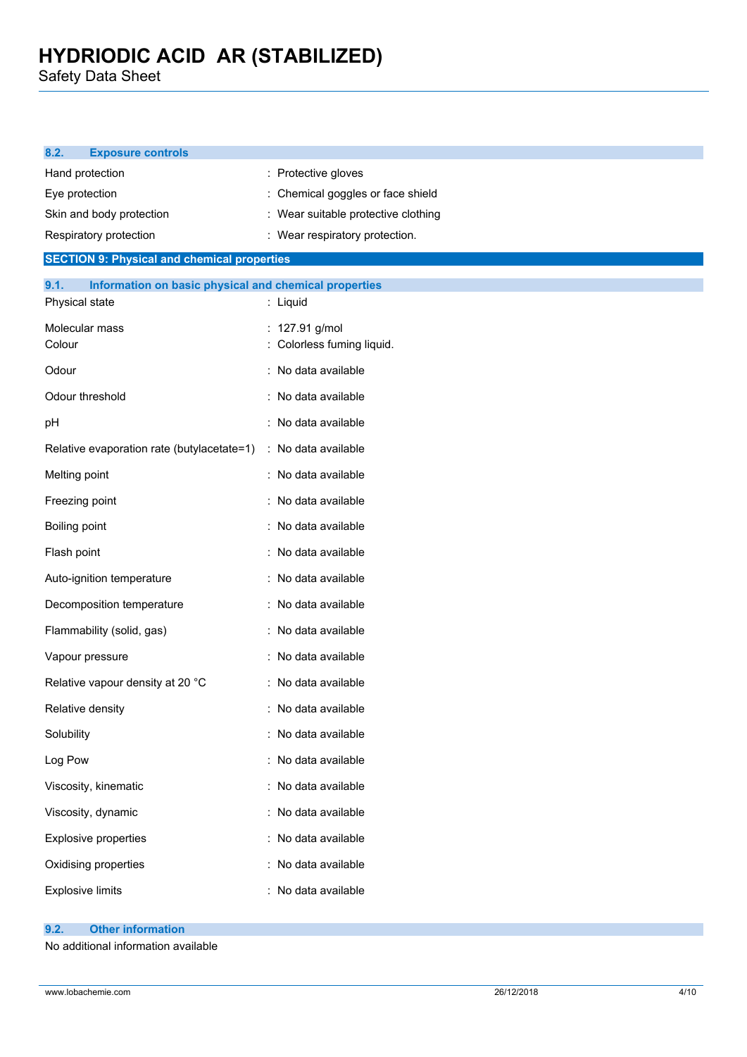Safety Data Sheet

| <b>Exposure controls</b><br>8.2.                                                |                                     |
|---------------------------------------------------------------------------------|-------------------------------------|
| Hand protection                                                                 | : Protective gloves                 |
| Eye protection                                                                  | Chemical goggles or face shield     |
| Skin and body protection                                                        | : Wear suitable protective clothing |
| Respiratory protection                                                          | : Wear respiratory protection.      |
| <b>SECTION 9: Physical and chemical properties</b>                              |                                     |
| 9.1.<br>Information on basic physical and chemical properties<br>Physical state | : Liquid                            |
| Molecular mass                                                                  | : 127.91 g/mol                      |
| Colour                                                                          | Colorless fuming liquid.            |
| Odour                                                                           | : No data available                 |
| Odour threshold                                                                 | : No data available                 |
| pH                                                                              | : No data available                 |
| Relative evaporation rate (butylacetate=1)                                      | : No data available                 |
| Melting point                                                                   | : No data available                 |
| Freezing point                                                                  | No data available                   |
| <b>Boiling point</b>                                                            | No data available                   |
| Flash point                                                                     | No data available                   |
| Auto-ignition temperature                                                       | : No data available                 |
| Decomposition temperature                                                       | : No data available                 |
| Flammability (solid, gas)                                                       | : No data available                 |
| Vapour pressure                                                                 | : No data available                 |
| Relative vapour density at 20 °C                                                | : No data available                 |
| Relative density                                                                | : No data available                 |
| Solubility                                                                      | : No data available                 |
| Log Pow                                                                         | : No data available                 |
| Viscosity, kinematic                                                            | No data available                   |
| Viscosity, dynamic                                                              | : No data available                 |
| <b>Explosive properties</b>                                                     | : No data available                 |
| Oxidising properties                                                            | : No data available                 |
| <b>Explosive limits</b>                                                         | : No data available                 |
|                                                                                 |                                     |

## **9.2. Other information**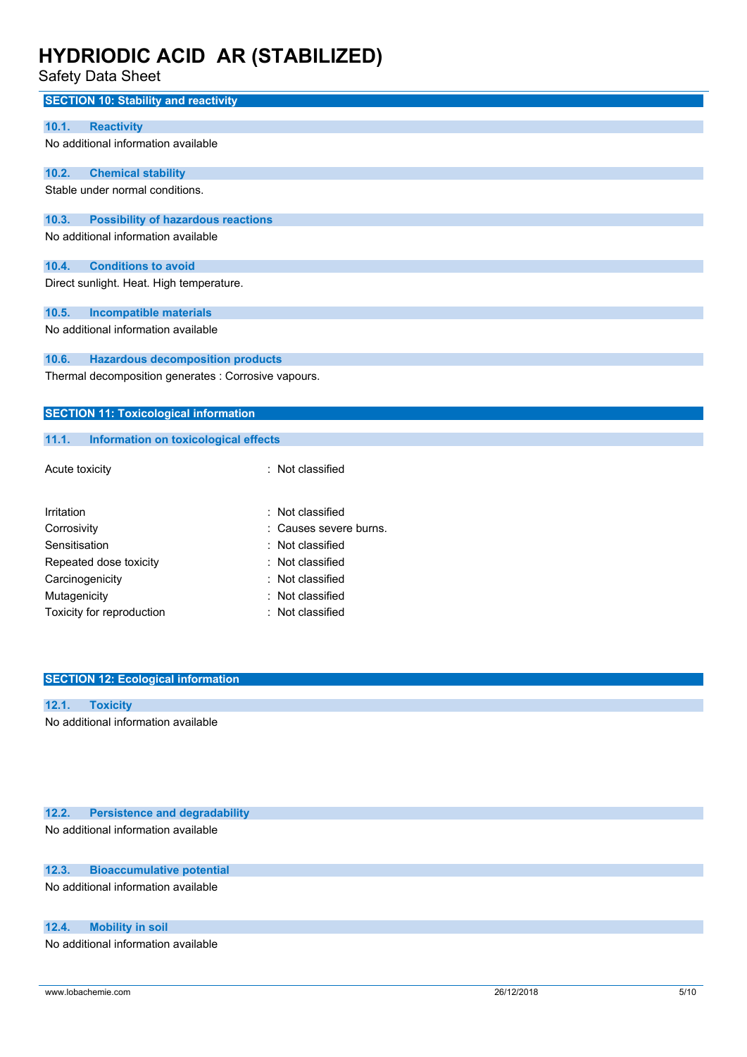Safety Data Sheet

| salety Data Sheet                                                 |                      |  |  |  |
|-------------------------------------------------------------------|----------------------|--|--|--|
| <b>SECTION 10: Stability and reactivity</b>                       |                      |  |  |  |
|                                                                   |                      |  |  |  |
| 10.1.<br><b>Reactivity</b><br>No additional information available |                      |  |  |  |
|                                                                   |                      |  |  |  |
| 10.2.<br><b>Chemical stability</b>                                |                      |  |  |  |
| Stable under normal conditions.                                   |                      |  |  |  |
|                                                                   |                      |  |  |  |
| 10.3.<br><b>Possibility of hazardous reactions</b>                |                      |  |  |  |
| No additional information available                               |                      |  |  |  |
| 10.4.<br><b>Conditions to avoid</b>                               |                      |  |  |  |
| Direct sunlight. Heat. High temperature.                          |                      |  |  |  |
|                                                                   |                      |  |  |  |
| <b>Incompatible materials</b><br>10.5.                            |                      |  |  |  |
| No additional information available                               |                      |  |  |  |
| 10.6.<br><b>Hazardous decomposition products</b>                  |                      |  |  |  |
| Thermal decomposition generates : Corrosive vapours.              |                      |  |  |  |
|                                                                   |                      |  |  |  |
| <b>SECTION 11: Toxicological information</b>                      |                      |  |  |  |
|                                                                   |                      |  |  |  |
| 11.1.<br><b>Information on toxicological effects</b>              |                      |  |  |  |
| Acute toxicity                                                    | : Not classified     |  |  |  |
|                                                                   |                      |  |  |  |
| Irritation                                                        | Not classified       |  |  |  |
| Corrosivity                                                       | Causes severe burns. |  |  |  |
| Sensitisation                                                     | Not classified       |  |  |  |
| Repeated dose toxicity                                            | Not classified       |  |  |  |
| Carcinogenicity                                                   | Not classified       |  |  |  |
| Mutagenicity                                                      | Not classified       |  |  |  |
| Toxicity for reproduction                                         | Not classified<br>÷  |  |  |  |
|                                                                   |                      |  |  |  |
|                                                                   |                      |  |  |  |
|                                                                   |                      |  |  |  |

## **SECTION 12: Ecological information**

#### **12.1. Toxicity**

No additional information available

## **12.2. Persistence and degradability**

No additional information available

## **12.3. Bioaccumulative potential**

No additional information available

## **12.4. Mobility in soil**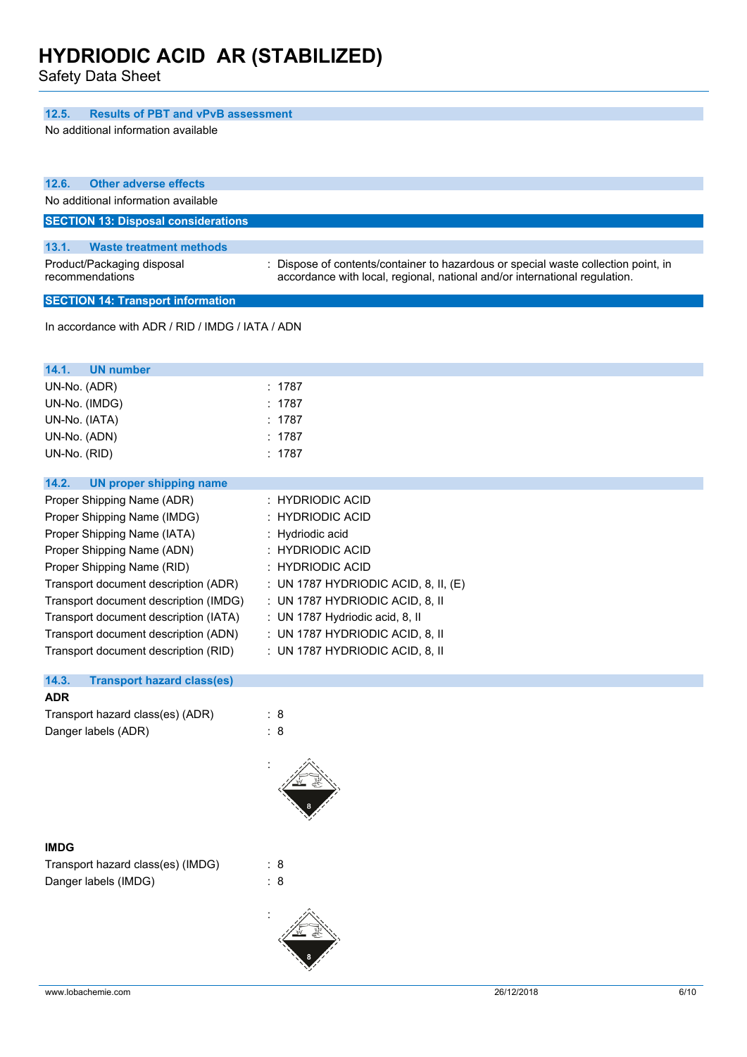Safety Data Sheet

| <b>Results of PBT and vPvB assessment</b><br>12.5. |                                                                                    |  |  |  |
|----------------------------------------------------|------------------------------------------------------------------------------------|--|--|--|
| No additional information available                |                                                                                    |  |  |  |
|                                                    |                                                                                    |  |  |  |
|                                                    |                                                                                    |  |  |  |
| 12.6.<br><b>Other adverse effects</b>              |                                                                                    |  |  |  |
| No additional information available                |                                                                                    |  |  |  |
| <b>SECTION 13: Disposal considerations</b>         |                                                                                    |  |  |  |
| 13.1.<br><b>Waste treatment methods</b>            |                                                                                    |  |  |  |
| Product/Packaging disposal                         | : Dispose of contents/container to hazardous or special waste collection point, in |  |  |  |
| recommendations                                    | accordance with local, regional, national and/or international regulation.         |  |  |  |
| <b>SECTION 14: Transport information</b>           |                                                                                    |  |  |  |
| In accordance with ADR / RID / IMDG / IATA / ADN   |                                                                                    |  |  |  |
|                                                    |                                                                                    |  |  |  |
|                                                    |                                                                                    |  |  |  |
| 14.1.<br><b>UN number</b>                          |                                                                                    |  |  |  |
| UN-No. (ADR)                                       | : 1787                                                                             |  |  |  |
| UN-No. (IMDG)                                      | : 1787<br>: 1787                                                                   |  |  |  |
| UN-No. (IATA)                                      |                                                                                    |  |  |  |
| UN-No. (ADN)<br>UN-No. (RID)                       | : 1787<br>: 1787                                                                   |  |  |  |
|                                                    |                                                                                    |  |  |  |
| 14.2.<br><b>UN proper shipping name</b>            |                                                                                    |  |  |  |
| Proper Shipping Name (ADR)                         | : HYDRIODIC ACID                                                                   |  |  |  |
| Proper Shipping Name (IMDG)                        | : HYDRIODIC ACID                                                                   |  |  |  |
| Proper Shipping Name (IATA)                        | : Hydriodic acid                                                                   |  |  |  |
| Proper Shipping Name (ADN)                         | : HYDRIODIC ACID                                                                   |  |  |  |
| Proper Shipping Name (RID)                         | : HYDRIODIC ACID                                                                   |  |  |  |
| Transport document description (ADR)               | : UN 1787 HYDRIODIC ACID, 8, II, (E)                                               |  |  |  |
| Transport document description (IMDG)              | : UN 1787 HYDRIODIC ACID, 8, II                                                    |  |  |  |
| Transport document description (IATA)              | : UN 1787 Hydriodic acid, 8, II                                                    |  |  |  |
| Transport document description (ADN)               | : UN 1787 HYDRIODIC ACID, 8, II                                                    |  |  |  |
| Transport document description (RID)               | : UN 1787 HYDRIODIC ACID, 8, II                                                    |  |  |  |
| 14.3.<br><b>Transport hazard class(es)</b>         |                                                                                    |  |  |  |
| <b>ADR</b>                                         |                                                                                    |  |  |  |
| Transport hazard class(es) (ADR)                   | : 8                                                                                |  |  |  |
| Danger labels (ADR)                                | $\therefore$ 8                                                                     |  |  |  |
|                                                    |                                                                                    |  |  |  |
|                                                    |                                                                                    |  |  |  |
|                                                    |                                                                                    |  |  |  |
|                                                    |                                                                                    |  |  |  |
|                                                    |                                                                                    |  |  |  |
| <b>IMDG</b>                                        |                                                                                    |  |  |  |
| Transport hazard class(es) (IMDG)                  | : 8                                                                                |  |  |  |
| Danger labels (IMDG)                               | $\therefore$ 8                                                                     |  |  |  |
|                                                    |                                                                                    |  |  |  |
|                                                    |                                                                                    |  |  |  |
|                                                    |                                                                                    |  |  |  |
|                                                    |                                                                                    |  |  |  |
|                                                    |                                                                                    |  |  |  |
| www.lobachemie.com                                 | 26/12/2018<br>6/10                                                                 |  |  |  |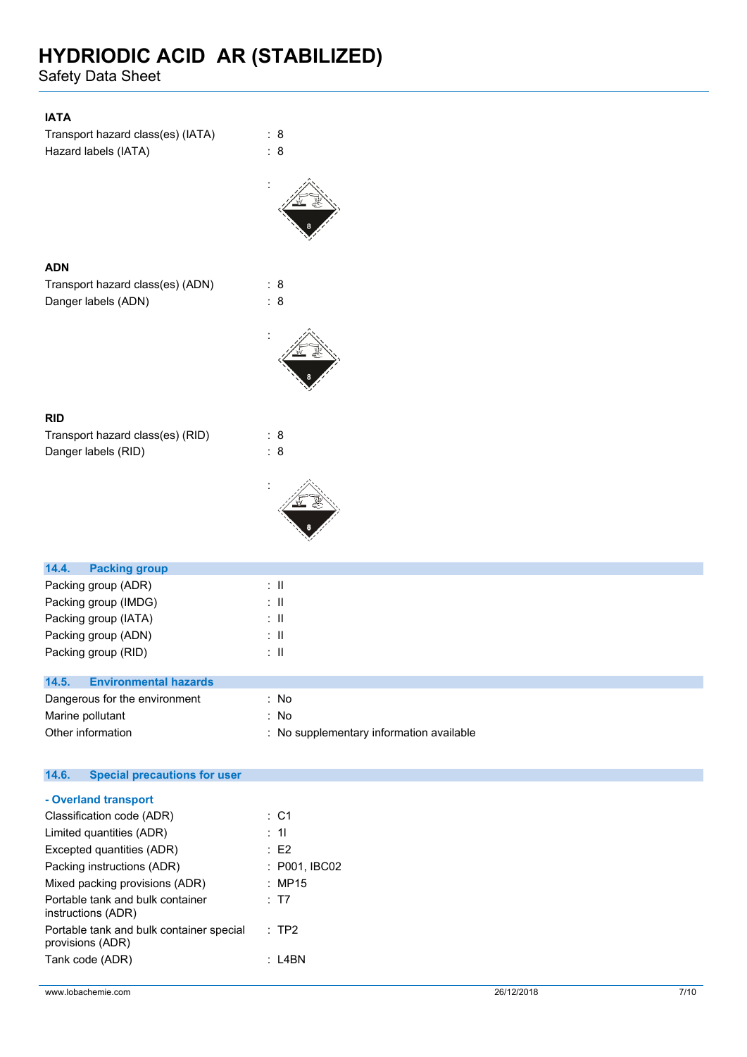Safety Data Sheet

### **IATA**

| Transport hazard class(es) (IATA) | : 8 |
|-----------------------------------|-----|
| Hazard labels (IATA)              | : 8 |



#### **ADN**

Transport hazard class(es) (ADN) : 8 Danger labels (ADN) : 8



#### **RID**

Transport hazard class(es) (RID) : 8 Danger labels (RID) : 8



| 14.4.<br><b>Packing group</b>         |    |  |  |
|---------------------------------------|----|--|--|
| Packing group (ADR)                   | ÷Ш |  |  |
| Packing group (IMDG)                  | ÷Ш |  |  |
| Packing group (IATA)                  | ÷Ш |  |  |
| Packing group (ADN)                   | ÷Ш |  |  |
| Packing group (RID)                   | ÷Ш |  |  |
|                                       |    |  |  |
| 14.5.<br><b>Environmental hazards</b> |    |  |  |

| Dangerous for the environment | : No                                     |
|-------------------------------|------------------------------------------|
| Marine pollutant              | : No                                     |
| Other information             | : No supplementary information available |

| <b>Special precautions for user</b><br>14.6.                 |                  |
|--------------------------------------------------------------|------------------|
| - Overland transport                                         |                  |
| Classification code (ADR)                                    | $\therefore$ C1  |
| Limited quantities (ADR)                                     | : 11             |
| Excepted quantities (ADR)                                    | E2               |
| Packing instructions (ADR)                                   | : P001, IBC02    |
| Mixed packing provisions (ADR)                               | : MP15           |
| Portable tank and bulk container<br>instructions (ADR)       | : T7             |
| Portable tank and bulk container special<br>provisions (ADR) | $\therefore$ TP2 |
| Tank code (ADR)                                              | $:$ L4BN         |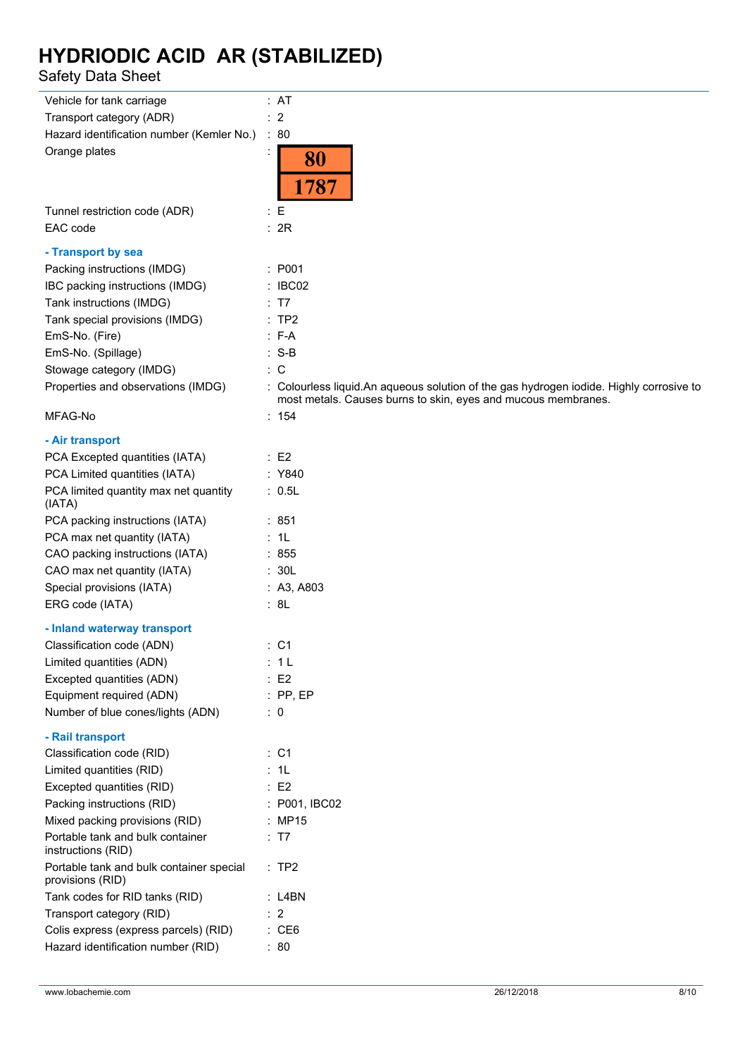Safety Data Sheet

| Vehicle for tank carriage                                    | : AT                                                                                    |
|--------------------------------------------------------------|-----------------------------------------------------------------------------------------|
| Transport category (ADR)                                     | $\therefore$ 2                                                                          |
| Hazard identification number (Kemler No.)                    | ∴ 80                                                                                    |
| Orange plates                                                |                                                                                         |
|                                                              | 80<br>787                                                                               |
|                                                              |                                                                                         |
| Tunnel restriction code (ADR)                                | $\colon E$                                                                              |
| EAC code                                                     | : 2R                                                                                    |
| - Transport by sea                                           |                                                                                         |
| Packing instructions (IMDG)                                  | : P001                                                                                  |
| IBC packing instructions (IMDG)                              | : IBCO2                                                                                 |
| Tank instructions (IMDG)                                     | : T7                                                                                    |
| Tank special provisions (IMDG)                               | :TP2                                                                                    |
| EmS-No. (Fire)                                               | $: F-A$                                                                                 |
| EmS-No. (Spillage)                                           | $: S-B$                                                                                 |
| Stowage category (IMDG)                                      | $\therefore$ C                                                                          |
| Properties and observations (IMDG)                           | : Colourless liquid.An aqueous solution of the gas hydrogen iodide. Highly corrosive to |
|                                                              | most metals. Causes burns to skin, eyes and mucous membranes.                           |
| MFAG-No                                                      | : 154                                                                                   |
| - Air transport                                              |                                                                                         |
| PCA Excepted quantities (IATA)                               | $\therefore$ E2                                                                         |
| PCA Limited quantities (IATA)                                | : Y840                                                                                  |
| PCA limited quantity max net quantity<br>(IATA)              | : 0.5L                                                                                  |
| PCA packing instructions (IATA)                              | : 851                                                                                   |
| PCA max net quantity (IATA)                                  | : 1L                                                                                    |
| CAO packing instructions (IATA)                              | : 855                                                                                   |
| CAO max net quantity (IATA)                                  | : 30L                                                                                   |
| Special provisions (IATA)                                    | : A3, A803                                                                              |
| ERG code (IATA)                                              | : 8L                                                                                    |
| - Inland waterway transport                                  |                                                                                         |
| Classification code (ADN)                                    | : C1                                                                                    |
| Limited quantities (ADN)                                     | : 1L                                                                                    |
| Excepted quantities (ADN)                                    | E2                                                                                      |
| Equipment required (ADN)                                     | $:$ PP, EP                                                                              |
| Number of blue cones/lights (ADN)                            | $\therefore$ 0                                                                          |
| - Rail transport                                             |                                                                                         |
| Classification code (RID)                                    | $\therefore$ C1                                                                         |
| Limited quantities (RID)                                     | : 1L                                                                                    |
| Excepted quantities (RID)                                    | $\therefore$ E2                                                                         |
| Packing instructions (RID)                                   | : P001, IBC02                                                                           |
| Mixed packing provisions (RID)                               | : MP15                                                                                  |
| Portable tank and bulk container<br>instructions (RID)       | : T7                                                                                    |
| Portable tank and bulk container special<br>provisions (RID) | :TP2                                                                                    |
| Tank codes for RID tanks (RID)                               | $:$ L4BN                                                                                |
| Transport category (RID)                                     | $\therefore$ 2                                                                          |
| Colis express (express parcels) (RID)                        | : CE6                                                                                   |
| Hazard identification number (RID)                           | : 80                                                                                    |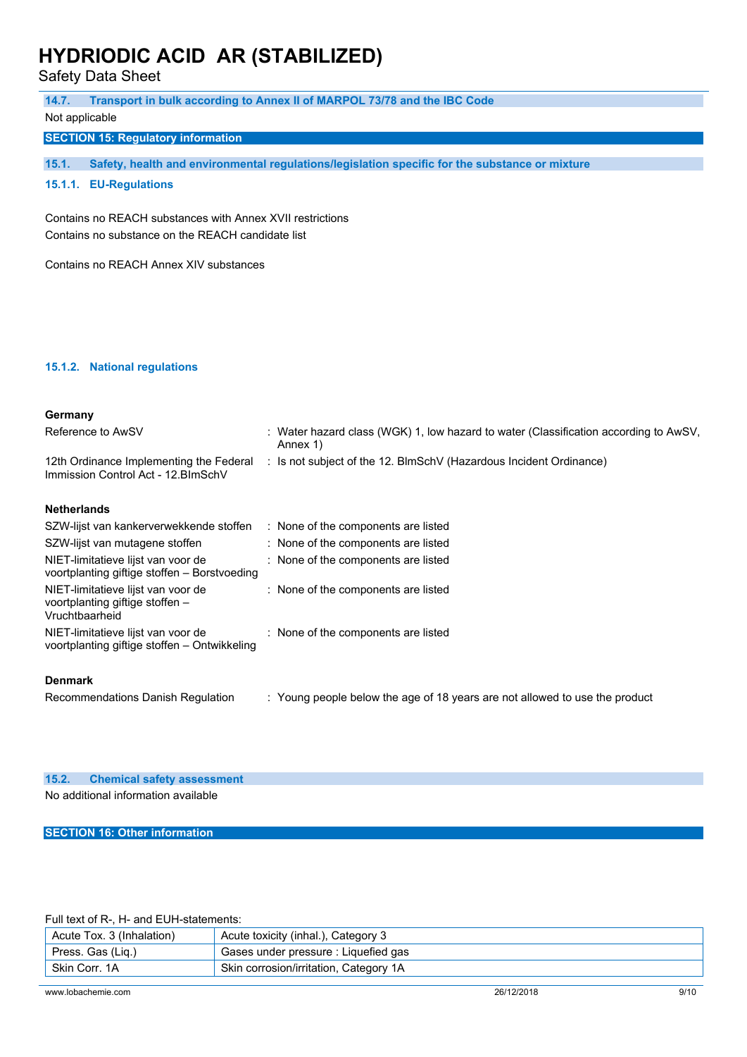Safety Data Sheet

| 14.7.                                                                                   | Transport in bulk according to Annex II of MARPOL 73/78 and the IBC Code                         |
|-----------------------------------------------------------------------------------------|--------------------------------------------------------------------------------------------------|
| Not applicable                                                                          |                                                                                                  |
| <b>SECTION 15: Regulatory information</b>                                               |                                                                                                  |
| 15.1.                                                                                   | Safety, health and environmental regulations/legislation specific for the substance or mixture   |
|                                                                                         |                                                                                                  |
| 15.1.1. EU-Regulations                                                                  |                                                                                                  |
| Contains no REACH substances with Annex XVII restrictions                               |                                                                                                  |
| Contains no substance on the REACH candidate list                                       |                                                                                                  |
|                                                                                         |                                                                                                  |
| Contains no REACH Annex XIV substances                                                  |                                                                                                  |
|                                                                                         |                                                                                                  |
|                                                                                         |                                                                                                  |
|                                                                                         |                                                                                                  |
|                                                                                         |                                                                                                  |
|                                                                                         |                                                                                                  |
| 15.1.2. National regulations                                                            |                                                                                                  |
|                                                                                         |                                                                                                  |
| Germany                                                                                 |                                                                                                  |
| Reference to AwSV                                                                       | : Water hazard class (WGK) 1, low hazard to water (Classification according to AwSV,<br>Annex 1) |
| 12th Ordinance Implementing the Federal<br>Immission Control Act - 12. BlmSchV          | : Is not subject of the 12. BlmSchV (Hazardous Incident Ordinance)                               |
| <b>Netherlands</b>                                                                      |                                                                                                  |
| SZW-lijst van kankerverwekkende stoffen                                                 | : None of the components are listed                                                              |
| SZW-lijst van mutagene stoffen                                                          | : None of the components are listed                                                              |
| NIET-limitatieve lijst van voor de                                                      | : None of the components are listed                                                              |
| voortplanting giftige stoffen - Borstvoeding                                            |                                                                                                  |
| NIET-limitatieve lijst van voor de<br>voortplanting giftige stoffen -<br>Vruchtbaarheid | : None of the components are listed                                                              |
| NIET-limitatieve lijst van voor de<br>voortplanting giftige stoffen - Ontwikkeling      | : None of the components are listed                                                              |
| <b>Denmark</b>                                                                          |                                                                                                  |
| Recommendations Danish Regulation                                                       | : Young people below the age of 18 years are not allowed to use the product                      |

No additional information available

## **SECTION 16: Other information**

Full text of R-, H- and EUH-statements:

| Acute Tox. 3 (Inhalation) | Acute toxicity (inhal.), Category 3    |
|---------------------------|----------------------------------------|
| Press. Gas (Lig.)         | Gases under pressure : Liquefied gas   |
| Skin Corr. 1A             | Skin corrosion/irritation, Category 1A |